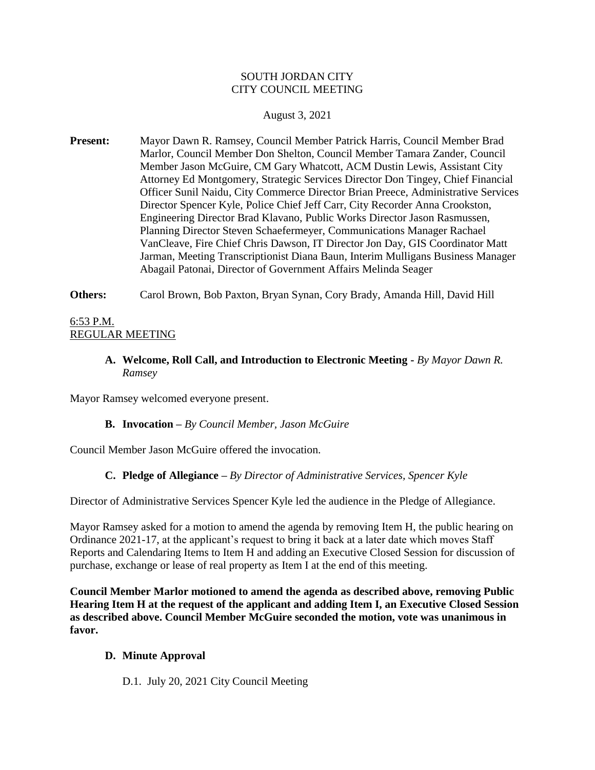# SOUTH JORDAN CITY CITY COUNCIL MEETING

### August 3, 2021

- **Present:** Mayor Dawn R. Ramsey, Council Member Patrick Harris, Council Member Brad Marlor, Council Member Don Shelton, Council Member Tamara Zander, Council Member Jason McGuire, CM Gary Whatcott, ACM Dustin Lewis, Assistant City Attorney Ed Montgomery, Strategic Services Director Don Tingey, Chief Financial Officer Sunil Naidu, City Commerce Director Brian Preece, Administrative Services Director Spencer Kyle, Police Chief Jeff Carr, City Recorder Anna Crookston, Engineering Director Brad Klavano, Public Works Director Jason Rasmussen, Planning Director Steven Schaefermeyer, Communications Manager Rachael VanCleave, Fire Chief Chris Dawson, IT Director Jon Day, GIS Coordinator Matt Jarman, Meeting Transcriptionist Diana Baun, Interim Mulligans Business Manager Abagail Patonai, Director of Government Affairs Melinda Seager
- **Others:** Carol Brown, Bob Paxton, Bryan Synan, Cory Brady, Amanda Hill, David Hill

### 6:53 P.M. REGULAR MEETING

**A. Welcome, Roll Call, and Introduction to Electronic Meeting -** *By Mayor Dawn R. Ramsey*

Mayor Ramsey welcomed everyone present.

#### **B. Invocation –** *By Council Member, Jason McGuire*

Council Member Jason McGuire offered the invocation.

#### **C. Pledge of Allegiance –** *By Director of Administrative Services, Spencer Kyle*

Director of Administrative Services Spencer Kyle led the audience in the Pledge of Allegiance.

Mayor Ramsey asked for a motion to amend the agenda by removing Item H, the public hearing on Ordinance 2021-17, at the applicant's request to bring it back at a later date which moves Staff Reports and Calendaring Items to Item H and adding an Executive Closed Session for discussion of purchase, exchange or lease of real property as Item I at the end of this meeting.

**Council Member Marlor motioned to amend the agenda as described above, removing Public Hearing Item H at the request of the applicant and adding Item I, an Executive Closed Session as described above. Council Member McGuire seconded the motion, vote was unanimous in favor.**

# **D. Minute Approval**

D.1. July 20, 2021 City Council Meeting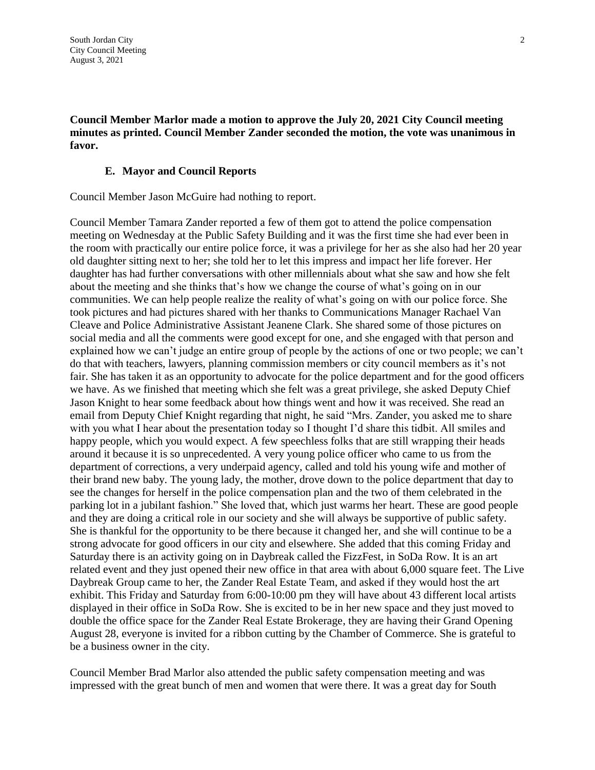**Council Member Marlor made a motion to approve the July 20, 2021 City Council meeting minutes as printed. Council Member Zander seconded the motion, the vote was unanimous in favor.**

#### **E. Mayor and Council Reports**

Council Member Jason McGuire had nothing to report.

Council Member Tamara Zander reported a few of them got to attend the police compensation meeting on Wednesday at the Public Safety Building and it was the first time she had ever been in the room with practically our entire police force, it was a privilege for her as she also had her 20 year old daughter sitting next to her; she told her to let this impress and impact her life forever. Her daughter has had further conversations with other millennials about what she saw and how she felt about the meeting and she thinks that's how we change the course of what's going on in our communities. We can help people realize the reality of what's going on with our police force. She took pictures and had pictures shared with her thanks to Communications Manager Rachael Van Cleave and Police Administrative Assistant Jeanene Clark. She shared some of those pictures on social media and all the comments were good except for one, and she engaged with that person and explained how we can't judge an entire group of people by the actions of one or two people; we can't do that with teachers, lawyers, planning commission members or city council members as it's not fair. She has taken it as an opportunity to advocate for the police department and for the good officers we have. As we finished that meeting which she felt was a great privilege, she asked Deputy Chief Jason Knight to hear some feedback about how things went and how it was received. She read an email from Deputy Chief Knight regarding that night, he said "Mrs. Zander, you asked me to share with you what I hear about the presentation today so I thought I'd share this tidbit. All smiles and happy people, which you would expect. A few speechless folks that are still wrapping their heads around it because it is so unprecedented. A very young police officer who came to us from the department of corrections, a very underpaid agency, called and told his young wife and mother of their brand new baby. The young lady, the mother, drove down to the police department that day to see the changes for herself in the police compensation plan and the two of them celebrated in the parking lot in a jubilant fashion." She loved that, which just warms her heart. These are good people and they are doing a critical role in our society and she will always be supportive of public safety. She is thankful for the opportunity to be there because it changed her, and she will continue to be a strong advocate for good officers in our city and elsewhere. She added that this coming Friday and Saturday there is an activity going on in Daybreak called the FizzFest, in SoDa Row. It is an art related event and they just opened their new office in that area with about 6,000 square feet. The Live Daybreak Group came to her, the Zander Real Estate Team, and asked if they would host the art exhibit. This Friday and Saturday from 6:00-10:00 pm they will have about 43 different local artists displayed in their office in SoDa Row. She is excited to be in her new space and they just moved to double the office space for the Zander Real Estate Brokerage, they are having their Grand Opening August 28, everyone is invited for a ribbon cutting by the Chamber of Commerce. She is grateful to be a business owner in the city.

Council Member Brad Marlor also attended the public safety compensation meeting and was impressed with the great bunch of men and women that were there. It was a great day for South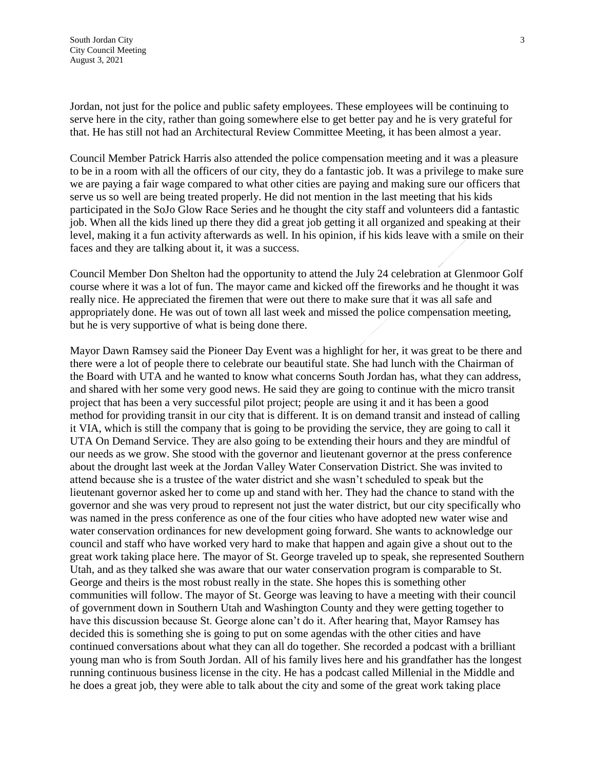Jordan, not just for the police and public safety employees. These employees will be continuing to serve here in the city, rather than going somewhere else to get better pay and he is very grateful for that. He has still not had an Architectural Review Committee Meeting, it has been almost a year.

Council Member Patrick Harris also attended the police compensation meeting and it was a pleasure to be in a room with all the officers of our city, they do a fantastic job. It was a privilege to make sure we are paying a fair wage compared to what other cities are paying and making sure our officers that serve us so well are being treated properly. He did not mention in the last meeting that his kids participated in the SoJo Glow Race Series and he thought the city staff and volunteers did a fantastic job. When all the kids lined up there they did a great job getting it all organized and speaking at their level, making it a fun activity afterwards as well. In his opinion, if his kids leave with a smile on their faces and they are talking about it, it was a success.

Council Member Don Shelton had the opportunity to attend the July 24 celebration at Glenmoor Golf course where it was a lot of fun. The mayor came and kicked off the fireworks and he thought it was really nice. He appreciated the firemen that were out there to make sure that it was all safe and appropriately done. He was out of town all last week and missed the police compensation meeting, but he is very supportive of what is being done there.

Mayor Dawn Ramsey said the Pioneer Day Event was a highlight for her, it was great to be there and there were a lot of people there to celebrate our beautiful state. She had lunch with the Chairman of the Board with UTA and he wanted to know what concerns South Jordan has, what they can address, and shared with her some very good news. He said they are going to continue with the micro transit project that has been a very successful pilot project; people are using it and it has been a good method for providing transit in our city that is different. It is on demand transit and instead of calling it VIA, which is still the company that is going to be providing the service, they are going to call it UTA On Demand Service. They are also going to be extending their hours and they are mindful of our needs as we grow. She stood with the governor and lieutenant governor at the press conference about the drought last week at the Jordan Valley Water Conservation District. She was invited to attend because she is a trustee of the water district and she wasn't scheduled to speak but the lieutenant governor asked her to come up and stand with her. They had the chance to stand with the governor and she was very proud to represent not just the water district, but our city specifically who was named in the press conference as one of the four cities who have adopted new water wise and water conservation ordinances for new development going forward. She wants to acknowledge our council and staff who have worked very hard to make that happen and again give a shout out to the great work taking place here. The mayor of St. George traveled up to speak, she represented Southern Utah, and as they talked she was aware that our water conservation program is comparable to St. George and theirs is the most robust really in the state. She hopes this is something other communities will follow. The mayor of St. George was leaving to have a meeting with their council of government down in Southern Utah and Washington County and they were getting together to have this discussion because St. George alone can't do it. After hearing that, Mayor Ramsey has decided this is something she is going to put on some agendas with the other cities and have continued conversations about what they can all do together. She recorded a podcast with a brilliant young man who is from South Jordan. All of his family lives here and his grandfather has the longest running continuous business license in the city. He has a podcast called Millenial in the Middle and he does a great job, they were able to talk about the city and some of the great work taking place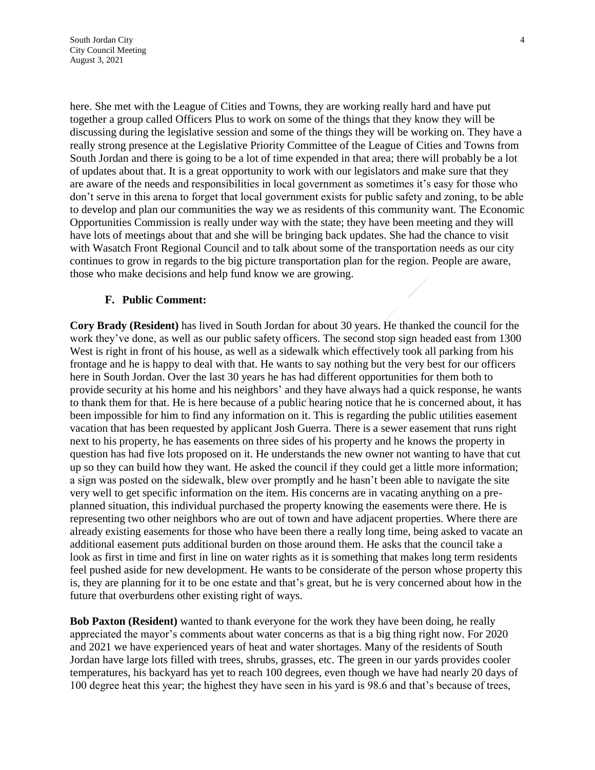here. She met with the League of Cities and Towns, they are working really hard and have put together a group called Officers Plus to work on some of the things that they know they will be discussing during the legislative session and some of the things they will be working on. They have a really strong presence at the Legislative Priority Committee of the League of Cities and Towns from South Jordan and there is going to be a lot of time expended in that area; there will probably be a lot of updates about that. It is a great opportunity to work with our legislators and make sure that they are aware of the needs and responsibilities in local government as sometimes it's easy for those who don't serve in this arena to forget that local government exists for public safety and zoning, to be able to develop and plan our communities the way we as residents of this community want. The Economic Opportunities Commission is really under way with the state; they have been meeting and they will have lots of meetings about that and she will be bringing back updates. She had the chance to visit with Wasatch Front Regional Council and to talk about some of the transportation needs as our city continues to grow in regards to the big picture transportation plan for the region. People are aware, those who make decisions and help fund know we are growing.

#### **F. Public Comment:**

**Cory Brady (Resident)** has lived in South Jordan for about 30 years. He thanked the council for the work they've done, as well as our public safety officers. The second stop sign headed east from 1300 West is right in front of his house, as well as a sidewalk which effectively took all parking from his frontage and he is happy to deal with that. He wants to say nothing but the very best for our officers here in South Jordan. Over the last 30 years he has had different opportunities for them both to provide security at his home and his neighbors' and they have always had a quick response, he wants to thank them for that. He is here because of a public hearing notice that he is concerned about, it has been impossible for him to find any information on it. This is regarding the public utilities easement vacation that has been requested by applicant Josh Guerra. There is a sewer easement that runs right next to his property, he has easements on three sides of his property and he knows the property in question has had five lots proposed on it. He understands the new owner not wanting to have that cut up so they can build how they want. He asked the council if they could get a little more information; a sign was posted on the sidewalk, blew over promptly and he hasn't been able to navigate the site very well to get specific information on the item. His concerns are in vacating anything on a preplanned situation, this individual purchased the property knowing the easements were there. He is representing two other neighbors who are out of town and have adjacent properties. Where there are already existing easements for those who have been there a really long time, being asked to vacate an additional easement puts additional burden on those around them. He asks that the council take a look as first in time and first in line on water rights as it is something that makes long term residents feel pushed aside for new development. He wants to be considerate of the person whose property this is, they are planning for it to be one estate and that's great, but he is very concerned about how in the future that overburdens other existing right of ways.

**Bob Paxton (Resident)** wanted to thank everyone for the work they have been doing, he really appreciated the mayor's comments about water concerns as that is a big thing right now. For 2020 and 2021 we have experienced years of heat and water shortages. Many of the residents of South Jordan have large lots filled with trees, shrubs, grasses, etc. The green in our yards provides cooler temperatures, his backyard has yet to reach 100 degrees, even though we have had nearly 20 days of 100 degree heat this year; the highest they have seen in his yard is 98.6 and that's because of trees,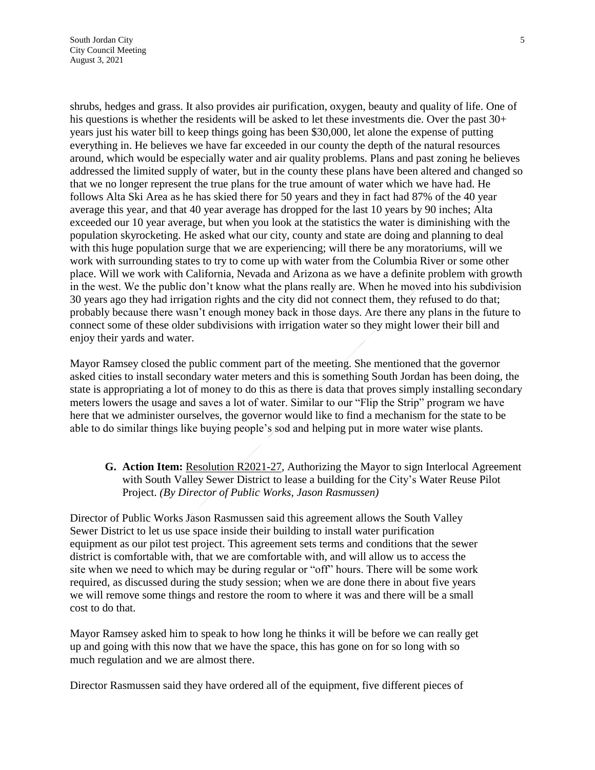shrubs, hedges and grass. It also provides air purification, oxygen, beauty and quality of life. One of his questions is whether the residents will be asked to let these investments die. Over the past 30+ years just his water bill to keep things going has been \$30,000, let alone the expense of putting everything in. He believes we have far exceeded in our county the depth of the natural resources around, which would be especially water and air quality problems. Plans and past zoning he believes addressed the limited supply of water, but in the county these plans have been altered and changed so that we no longer represent the true plans for the true amount of water which we have had. He follows Alta Ski Area as he has skied there for 50 years and they in fact had 87% of the 40 year average this year, and that 40 year average has dropped for the last 10 years by 90 inches; Alta exceeded our 10 year average, but when you look at the statistics the water is diminishing with the population skyrocketing. He asked what our city, county and state are doing and planning to deal with this huge population surge that we are experiencing; will there be any moratoriums, will we work with surrounding states to try to come up with water from the Columbia River or some other place. Will we work with California, Nevada and Arizona as we have a definite problem with growth in the west. We the public don't know what the plans really are. When he moved into his subdivision 30 years ago they had irrigation rights and the city did not connect them, they refused to do that; probably because there wasn't enough money back in those days. Are there any plans in the future to connect some of these older subdivisions with irrigation water so they might lower their bill and enjoy their yards and water.

Mayor Ramsey closed the public comment part of the meeting. She mentioned that the governor asked cities to install secondary water meters and this is something South Jordan has been doing, the state is appropriating a lot of money to do this as there is data that proves simply installing secondary meters lowers the usage and saves a lot of water. Similar to our "Flip the Strip" program we have here that we administer ourselves, the governor would like to find a mechanism for the state to be able to do similar things like buying people's sod and helping put in more water wise plants.

**G. Action Item:** Resolution R2021-27, Authorizing the Mayor to sign Interlocal Agreement with South Valley Sewer District to lease a building for the City's Water Reuse Pilot Project. *(By Director of Public Works, Jason Rasmussen)*

Director of Public Works Jason Rasmussen said this agreement allows the South Valley Sewer District to let us use space inside their building to install water purification equipment as our pilot test project. This agreement sets terms and conditions that the sewer district is comfortable with, that we are comfortable with, and will allow us to access the site when we need to which may be during regular or "off" hours. There will be some work required, as discussed during the study session; when we are done there in about five years we will remove some things and restore the room to where it was and there will be a small cost to do that.

Mayor Ramsey asked him to speak to how long he thinks it will be before we can really get up and going with this now that we have the space, this has gone on for so long with so much regulation and we are almost there.

Director Rasmussen said they have ordered all of the equipment, five different pieces of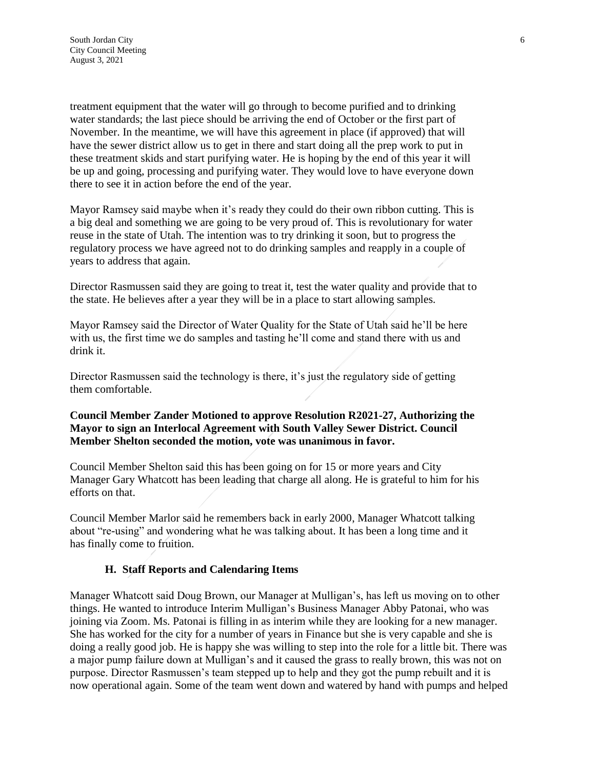treatment equipment that the water will go through to become purified and to drinking water standards; the last piece should be arriving the end of October or the first part of November. In the meantime, we will have this agreement in place (if approved) that will have the sewer district allow us to get in there and start doing all the prep work to put in these treatment skids and start purifying water. He is hoping by the end of this year it will be up and going, processing and purifying water. They would love to have everyone down there to see it in action before the end of the year.

Mayor Ramsey said maybe when it's ready they could do their own ribbon cutting. This is a big deal and something we are going to be very proud of. This is revolutionary for water reuse in the state of Utah. The intention was to try drinking it soon, but to progress the regulatory process we have agreed not to do drinking samples and reapply in a couple of years to address that again.

Director Rasmussen said they are going to treat it, test the water quality and provide that to the state. He believes after a year they will be in a place to start allowing samples.

Mayor Ramsey said the Director of Water Quality for the State of Utah said he'll be here with us, the first time we do samples and tasting he'll come and stand there with us and drink it.

Director Rasmussen said the technology is there, it's just the regulatory side of getting them comfortable.

### **Council Member Zander Motioned to approve Resolution R2021-27, Authorizing the Mayor to sign an Interlocal Agreement with South Valley Sewer District. Council Member Shelton seconded the motion, vote was unanimous in favor.**

Council Member Shelton said this has been going on for 15 or more years and City Manager Gary Whatcott has been leading that charge all along. He is grateful to him for his efforts on that.

Council Member Marlor said he remembers back in early 2000, Manager Whatcott talking about "re-using" and wondering what he was talking about. It has been a long time and it has finally come to fruition.

# **H. Staff Reports and Calendaring Items**

Manager Whatcott said Doug Brown, our Manager at Mulligan's, has left us moving on to other things. He wanted to introduce Interim Mulligan's Business Manager Abby Patonai, who was joining via Zoom. Ms. Patonai is filling in as interim while they are looking for a new manager. She has worked for the city for a number of years in Finance but she is very capable and she is doing a really good job. He is happy she was willing to step into the role for a little bit. There was a major pump failure down at Mulligan's and it caused the grass to really brown, this was not on purpose. Director Rasmussen's team stepped up to help and they got the pump rebuilt and it is now operational again. Some of the team went down and watered by hand with pumps and helped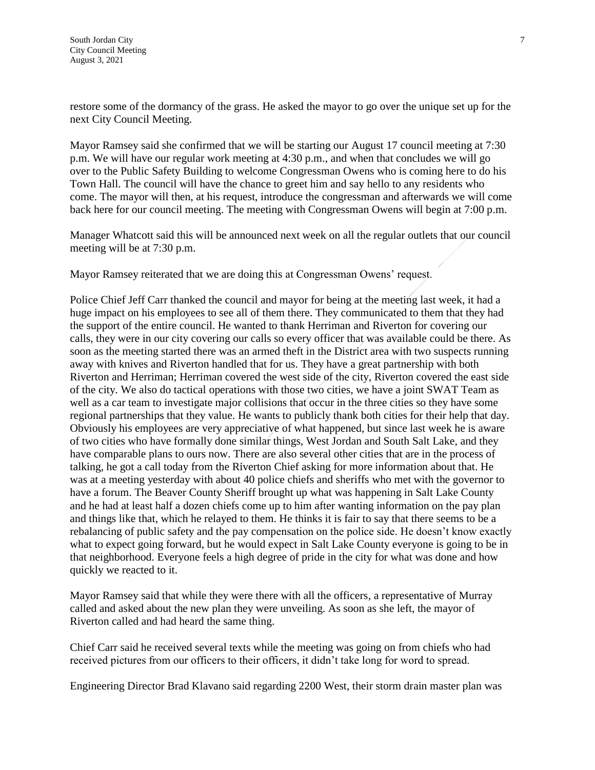restore some of the dormancy of the grass. He asked the mayor to go over the unique set up for the next City Council Meeting.

Mayor Ramsey said she confirmed that we will be starting our August 17 council meeting at 7:30 p.m. We will have our regular work meeting at 4:30 p.m., and when that concludes we will go over to the Public Safety Building to welcome Congressman Owens who is coming here to do his Town Hall. The council will have the chance to greet him and say hello to any residents who come. The mayor will then, at his request, introduce the congressman and afterwards we will come back here for our council meeting. The meeting with Congressman Owens will begin at 7:00 p.m.

Manager Whatcott said this will be announced next week on all the regular outlets that our council meeting will be at 7:30 p.m.

Mayor Ramsey reiterated that we are doing this at Congressman Owens' request.

Police Chief Jeff Carr thanked the council and mayor for being at the meeting last week, it had a huge impact on his employees to see all of them there. They communicated to them that they had the support of the entire council. He wanted to thank Herriman and Riverton for covering our calls, they were in our city covering our calls so every officer that was available could be there. As soon as the meeting started there was an armed theft in the District area with two suspects running away with knives and Riverton handled that for us. They have a great partnership with both Riverton and Herriman; Herriman covered the west side of the city, Riverton covered the east side of the city. We also do tactical operations with those two cities, we have a joint SWAT Team as well as a car team to investigate major collisions that occur in the three cities so they have some regional partnerships that they value. He wants to publicly thank both cities for their help that day. Obviously his employees are very appreciative of what happened, but since last week he is aware of two cities who have formally done similar things, West Jordan and South Salt Lake, and they have comparable plans to ours now. There are also several other cities that are in the process of talking, he got a call today from the Riverton Chief asking for more information about that. He was at a meeting yesterday with about 40 police chiefs and sheriffs who met with the governor to have a forum. The Beaver County Sheriff brought up what was happening in Salt Lake County and he had at least half a dozen chiefs come up to him after wanting information on the pay plan and things like that, which he relayed to them. He thinks it is fair to say that there seems to be a rebalancing of public safety and the pay compensation on the police side. He doesn't know exactly what to expect going forward, but he would expect in Salt Lake County everyone is going to be in that neighborhood. Everyone feels a high degree of pride in the city for what was done and how quickly we reacted to it.

Mayor Ramsey said that while they were there with all the officers, a representative of Murray called and asked about the new plan they were unveiling. As soon as she left, the mayor of Riverton called and had heard the same thing.

Chief Carr said he received several texts while the meeting was going on from chiefs who had received pictures from our officers to their officers, it didn't take long for word to spread.

Engineering Director Brad Klavano said regarding 2200 West, their storm drain master plan was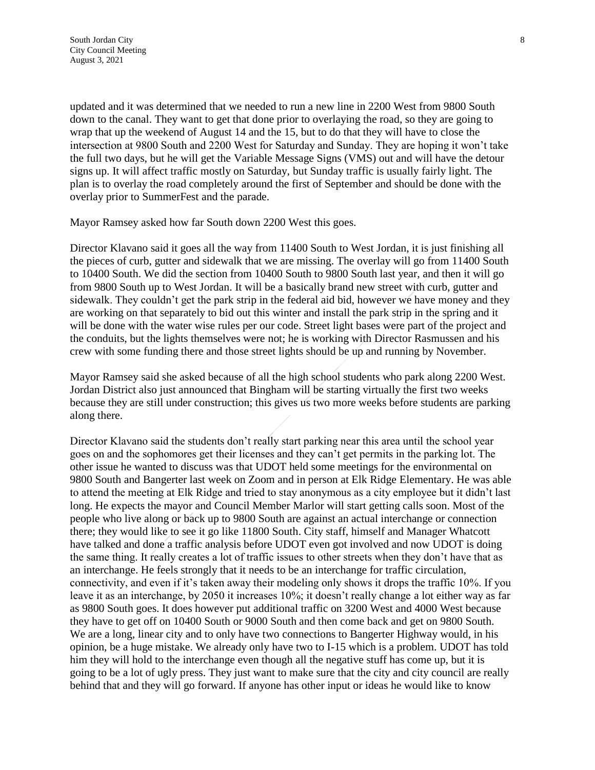updated and it was determined that we needed to run a new line in 2200 West from 9800 South down to the canal. They want to get that done prior to overlaying the road, so they are going to wrap that up the weekend of August 14 and the 15, but to do that they will have to close the intersection at 9800 South and 2200 West for Saturday and Sunday. They are hoping it won't take the full two days, but he will get the Variable Message Signs (VMS) out and will have the detour signs up. It will affect traffic mostly on Saturday, but Sunday traffic is usually fairly light. The plan is to overlay the road completely around the first of September and should be done with the overlay prior to SummerFest and the parade.

Mayor Ramsey asked how far South down 2200 West this goes.

Director Klavano said it goes all the way from 11400 South to West Jordan, it is just finishing all the pieces of curb, gutter and sidewalk that we are missing. The overlay will go from 11400 South to 10400 South. We did the section from 10400 South to 9800 South last year, and then it will go from 9800 South up to West Jordan. It will be a basically brand new street with curb, gutter and sidewalk. They couldn't get the park strip in the federal aid bid, however we have money and they are working on that separately to bid out this winter and install the park strip in the spring and it will be done with the water wise rules per our code. Street light bases were part of the project and the conduits, but the lights themselves were not; he is working with Director Rasmussen and his crew with some funding there and those street lights should be up and running by November.

Mayor Ramsey said she asked because of all the high school students who park along 2200 West. Jordan District also just announced that Bingham will be starting virtually the first two weeks because they are still under construction; this gives us two more weeks before students are parking along there.

Director Klavano said the students don't really start parking near this area until the school year goes on and the sophomores get their licenses and they can't get permits in the parking lot. The other issue he wanted to discuss was that UDOT held some meetings for the environmental on 9800 South and Bangerter last week on Zoom and in person at Elk Ridge Elementary. He was able to attend the meeting at Elk Ridge and tried to stay anonymous as a city employee but it didn't last long. He expects the mayor and Council Member Marlor will start getting calls soon. Most of the people who live along or back up to 9800 South are against an actual interchange or connection there; they would like to see it go like 11800 South. City staff, himself and Manager Whatcott have talked and done a traffic analysis before UDOT even got involved and now UDOT is doing the same thing. It really creates a lot of traffic issues to other streets when they don't have that as an interchange. He feels strongly that it needs to be an interchange for traffic circulation, connectivity, and even if it's taken away their modeling only shows it drops the traffic 10%. If you leave it as an interchange, by 2050 it increases 10%; it doesn't really change a lot either way as far as 9800 South goes. It does however put additional traffic on 3200 West and 4000 West because they have to get off on 10400 South or 9000 South and then come back and get on 9800 South. We are a long, linear city and to only have two connections to Bangerter Highway would, in his opinion, be a huge mistake. We already only have two to I-15 which is a problem. UDOT has told him they will hold to the interchange even though all the negative stuff has come up, but it is going to be a lot of ugly press. They just want to make sure that the city and city council are really behind that and they will go forward. If anyone has other input or ideas he would like to know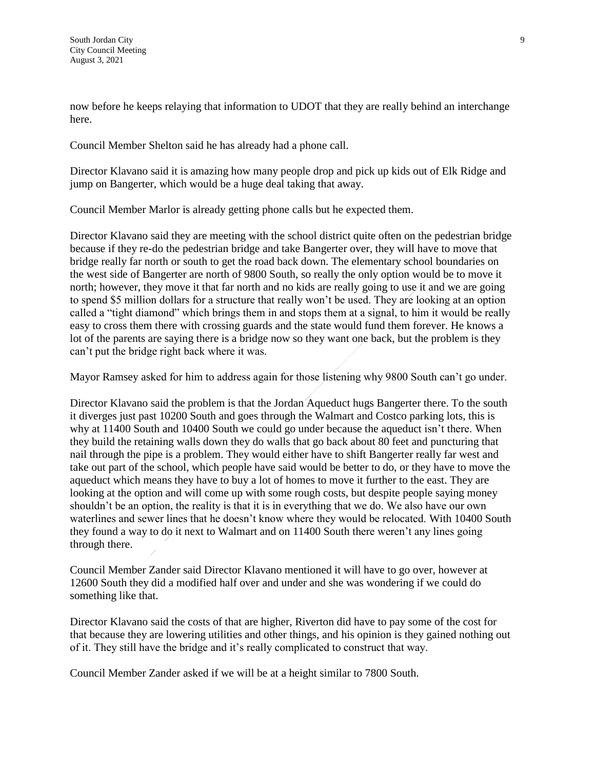now before he keeps relaying that information to UDOT that they are really behind an interchange here.

Council Member Shelton said he has already had a phone call.

Director Klavano said it is amazing how many people drop and pick up kids out of Elk Ridge and jump on Bangerter, which would be a huge deal taking that away.

Council Member Marlor is already getting phone calls but he expected them.

Director Klavano said they are meeting with the school district quite often on the pedestrian bridge because if they re-do the pedestrian bridge and take Bangerter over, they will have to move that bridge really far north or south to get the road back down. The elementary school boundaries on the west side of Bangerter are north of 9800 South, so really the only option would be to move it north; however, they move it that far north and no kids are really going to use it and we are going to spend \$5 million dollars for a structure that really won't be used. They are looking at an option called a "tight diamond" which brings them in and stops them at a signal, to him it would be really easy to cross them there with crossing guards and the state would fund them forever. He knows a lot of the parents are saying there is a bridge now so they want one back, but the problem is they can't put the bridge right back where it was.

Mayor Ramsey asked for him to address again for those listening why 9800 South can't go under.

Director Klavano said the problem is that the Jordan Aqueduct hugs Bangerter there. To the south it diverges just past 10200 South and goes through the Walmart and Costco parking lots, this is why at 11400 South and 10400 South we could go under because the aqueduct isn't there. When they build the retaining walls down they do walls that go back about 80 feet and puncturing that nail through the pipe is a problem. They would either have to shift Bangerter really far west and take out part of the school, which people have said would be better to do, or they have to move the aqueduct which means they have to buy a lot of homes to move it further to the east. They are looking at the option and will come up with some rough costs, but despite people saying money shouldn't be an option, the reality is that it is in everything that we do. We also have our own waterlines and sewer lines that he doesn't know where they would be relocated. With 10400 South they found a way to do it next to Walmart and on 11400 South there weren't any lines going through there.

Council Member Zander said Director Klavano mentioned it will have to go over, however at 12600 South they did a modified half over and under and she was wondering if we could do something like that.

Director Klavano said the costs of that are higher, Riverton did have to pay some of the cost for that because they are lowering utilities and other things, and his opinion is they gained nothing out of it. They still have the bridge and it's really complicated to construct that way.

Council Member Zander asked if we will be at a height similar to 7800 South.